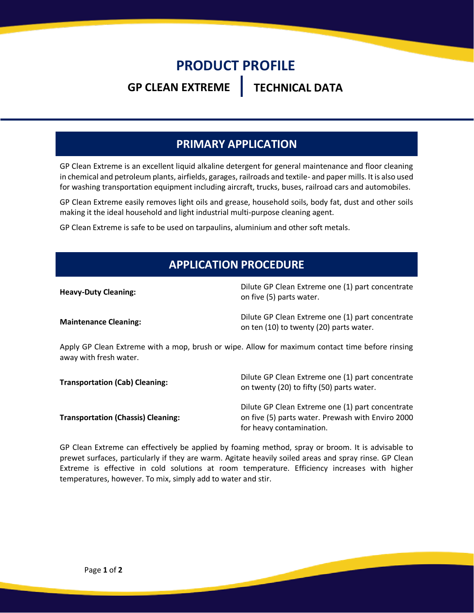## **PRODUCT PROFILE**

### **GP CLEAN EXTREME TECHNICAL DATA**

#### **PRIMARY APPLICATION**

GP Clean Extreme is an excellent liquid alkaline detergent for general maintenance and floor cleaning in chemical and petroleum plants, airfields, garages, railroads and textile- and paper mills. It is also used for washing transportation equipment including aircraft, trucks, buses, railroad cars and automobiles.

GP Clean Extreme easily removes light oils and grease, household soils, body fat, dust and other soils making it the ideal household and light industrial multi-purpose cleaning agent.

GP Clean Extreme is safe to be used on tarpaulins, aluminium and other soft metals.

#### **APPLICATION PROCEDURE**

| <b>Heavy-Duty Cleaning:</b>                                                                    | Dilute GP Clean Extreme one (1) part concentrate<br>on five (5) parts water.                |
|------------------------------------------------------------------------------------------------|---------------------------------------------------------------------------------------------|
| <b>Maintenance Cleaning:</b>                                                                   | Dilute GP Clean Extreme one (1) part concentrate<br>on ten (10) to twenty (20) parts water. |
| Apply CD Claan Extreme with a mon brush or wine. Allow for maximum contact time before rinsing |                                                                                             |

Apply GP Clean Extreme with a mop, brush or wipe. Allow for maximum contact time before rinsing away with fresh water.

| <b>Transportation (Cab) Cleaning:</b>     | Dilute GP Clean Extreme one (1) part concentrate<br>on twenty (20) to fifty (50) parts water.                                     |
|-------------------------------------------|-----------------------------------------------------------------------------------------------------------------------------------|
| <b>Transportation (Chassis) Cleaning:</b> | Dilute GP Clean Extreme one (1) part concentrate<br>on five (5) parts water. Prewash with Enviro 2000<br>for heavy contamination. |

GP Clean Extreme can effectively be applied by foaming method, spray or broom. It is advisable to prewet surfaces, particularly if they are warm. Agitate heavily soiled areas and spray rinse. GP Clean Extreme is effective in cold solutions at room temperature. Efficiency increases with higher temperatures, however. To mix, simply add to water and stir.